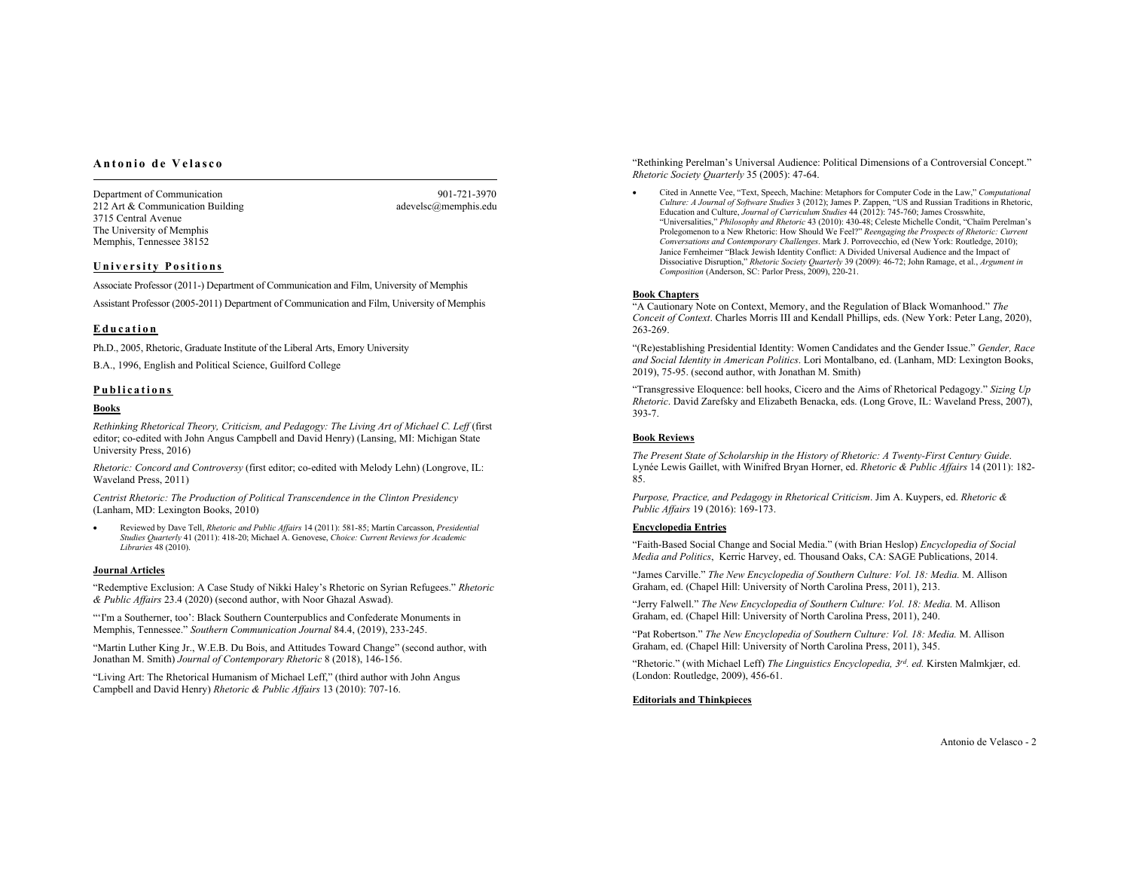## **Antonio de Velasco**

Department of Communication 901-721-3970 212 Art & Communication Building adevelsc@memphis.edu 3715 Central Avenue The University of Memphis Memphis, Tennessee 38152

### **University Positions**

Associate Professor (2011-) Department of Communication and Film, University of Memphis Assistant Professor (2005-2011) Department of Communication and Film, University of Memphis

## **Education**

Ph.D., 2005, Rhetoric, Graduate Institute of the Liberal Arts, Emory University

B.A., 1996, English and Political Science, Guilford College

### **Publications**

### **Books**

*Rethinking Rhetorical Theory, Criticism, and Pedagogy: The Living Art of Michael C. Leff* (first editor; co-edited with John Angus Campbell and David Henry) (Lansing, MI: Michigan State University Press, 2016)

*Rhetoric: Concord and Controversy* (first editor; co-edited with Melody Lehn) (Longrove, IL: Waveland Press, 2011)

*Centrist Rhetoric: The Production of Political Transcendence in the Clinton Presidency*  (Lanham, MD: Lexington Books, 2010)

• Reviewed by Dave Tell, *Rhetoric and Public Affairs* 14 (2011): 581-85; Martín Carcasson, *Presidential Studies Quarterly* 41 (2011): 418-20; Michael A. Genovese, *Choice: Current Reviews for Academic Libraries* 48 (2010).

#### **Journal Articles**

"Redemptive Exclusion: A Case Study of Nikki Haley's Rhetoric on Syrian Refugees." *Rhetoric & Public Affairs* 23.4 (2020) (second author, with Noor Ghazal Aswad).

"'I'm a Southerner, too': Black Southern Counterpublics and Confederate Monuments in Memphis, Tennessee." *Southern Communication Journal* 84.4, (2019), 233-245.

"Martin Luther King Jr., W.E.B. Du Bois, and Attitudes Toward Change" (second author, with Jonathan M. Smith) *Journal of Contemporary Rhetoric* 8 (2018), 146-156.

"Living Art: The Rhetorical Humanism of Michael Leff," (third author with John Angus Campbell and David Henry) *Rhetoric & Public Affairs* 13 (2010): 707-16.

"Rethinking Perelman's Universal Audience: Political Dimensions of a Controversial Concept." *Rhetoric Society Quarterly* 35 (2005): 47-64.

• Cited in Annette Vee, "Text, Speech, Machine: Metaphors for Computer Code in the Law," *Computational Culture: A Journal of Software Studies* 3 (2012); James P. Zappen, "US and Russian Traditions in Rhetoric, Education and Culture, *Journal of Curriculum Studies* 44 (2012): 745-760; James Crosswhite, "Universalities," *Philosophy and Rhetoric* 43 (2010): 430-48; Celeste Michelle Condit, "Chaïm Perelman's Prolegomenon to a New Rhetoric: How Should We Feel?" *Reengaging the Prospects of Rhetoric: Current Conversations and Contemporary Challenges*. Mark J. Porrovecchio, ed (New York: Routledge, 2010); Janice Fernheimer "Black Jewish Identity Conflict: A Divided Universal Audience and the Impact of Dissociative Disruption," *Rhetoric Society Quarterly* 39 (2009): 46-72; John Ramage, et al., *Argument in Composition* (Anderson, SC: Parlor Press, 2009), 220-21.

### **Book Chapters**

"A Cautionary Note on Context, Memory, and the Regulation of Black Womanhood." *The Conceit of Context*. Charles Morris III and Kendall Phillips, eds. (New York: Peter Lang, 2020), 263-269.

"(Re)establishing Presidential Identity: Women Candidates and the Gender Issue." *Gender, Race and Social Identity in American Politics*. Lori Montalbano, ed. (Lanham, MD: Lexington Books, 2019), 75-95. (second author, with Jonathan M. Smith)

"Transgressive Eloquence: bell hooks, Cicero and the Aims of Rhetorical Pedagogy." *Sizing Up Rhetoric*. David Zarefsky and Elizabeth Benacka, eds. (Long Grove, IL: Waveland Press, 2007), 393-7.

### **Book Reviews**

*The Present State of Scholarship in the History of Rhetoric: A Twenty-First Century Guide*. Lynée Lewis Gaillet, with Winifred Bryan Horner, ed. *Rhetoric & Public Affairs* 14 (2011): 182- 85.

*Purpose, Practice, and Pedagogy in Rhetorical Criticism*. Jim A. Kuypers, ed. *Rhetoric & Public Affairs* 19 (2016): 169-173.

## **Encyclopedia Entries**

"Faith-Based Social Change and Social Media." (with Brian Heslop) *Encyclopedia of Social Media and Politics*, Kerric Harvey, ed. Thousand Oaks, CA: SAGE Publications, 2014.

"James Carville." *The New Encyclopedia of Southern Culture: Vol. 18: Media.* M. Allison Graham, ed. (Chapel Hill: University of North Carolina Press, 2011), 213.

"Jerry Falwell." *The New Encyclopedia of Southern Culture: Vol. 18: Media.* M. Allison Graham, ed. (Chapel Hill: University of North Carolina Press, 2011), 240.

"Pat Robertson." *The New Encyclopedia of Southern Culture: Vol. 18: Media.* M. Allison Graham, ed. (Chapel Hill: University of North Carolina Press, 2011), 345.

"Rhetoric." (with Michael Leff) *The Linguistics Encyclopedia, 3rd. ed.* Kirsten Malmkjær, ed. (London: Routledge, 2009), 456-61.

**Editorials and Thinkpieces**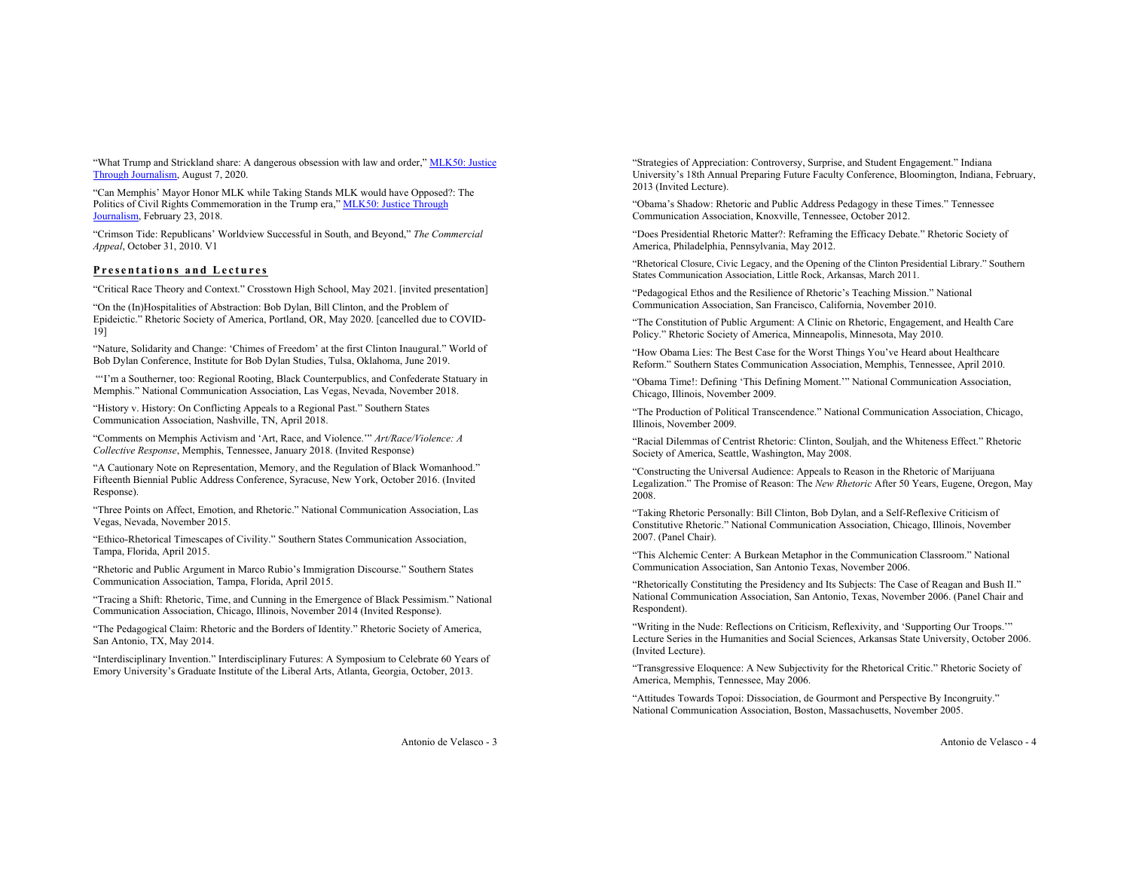"What Trump and Strickland share: A dangerous obsession with law and order," MLK50: Justice Through Journalism, August 7, 2020.

"Can Memphis' Mayor Honor MLK while Taking Stands MLK would have Opposed?: The Politics of Civil Rights Commemoration in the Trump era," MLK50: Justice Through Journalism, February 23, 2018.

"Crimson Tide: Republicans' Worldview Successful in South, and Beyond," *The Commercial Appeal*, October 31, 2010. V1

## **Presentations and Lectures**

"Critical Race Theory and Context." Crosstown High School, May 2021. [invited presentation]

"On the (In)Hospitalities of Abstraction: Bob Dylan, Bill Clinton, and the Problem of Epideictic." Rhetoric Society of America, Portland, OR, May 2020. [cancelled due to COVID-19]

"Nature, Solidarity and Change: 'Chimes of Freedom' at the first Clinton Inaugural." World of Bob Dylan Conference, Institute for Bob Dylan Studies, Tulsa, Oklahoma, June 2019.

"'I'm a Southerner, too: Regional Rooting, Black Counterpublics, and Confederate Statuary in Memphis." National Communication Association, Las Vegas, Nevada, November 2018.

"History v. History: On Conflicting Appeals to a Regional Past." Southern States Communication Association, Nashville, TN, April 2018.

"Comments on Memphis Activism and 'Art, Race, and Violence.'" *Art/Race/Violence: A Collective Response*, Memphis, Tennessee, January 2018. (Invited Response)

"A Cautionary Note on Representation, Memory, and the Regulation of Black Womanhood." Fifteenth Biennial Public Address Conference, Syracuse, New York, October 2016. (Invited Response).

"Three Points on Affect, Emotion, and Rhetoric." National Communication Association, Las Vegas, Nevada, November 2015.

"Ethico-Rhetorical Timescapes of Civility." Southern States Communication Association, Tampa, Florida, April 2015.

"Rhetoric and Public Argument in Marco Rubio's Immigration Discourse." Southern States Communication Association, Tampa, Florida, April 2015.

"Tracing a Shift: Rhetoric, Time, and Cunning in the Emergence of Black Pessimism." National Communication Association, Chicago, Illinois, November 2014 (Invited Response).

"The Pedagogical Claim: Rhetoric and the Borders of Identity." Rhetoric Society of America, San Antonio, TX, May 2014.

"Interdisciplinary Invention." Interdisciplinary Futures: A Symposium to Celebrate 60 Years of Emory University's Graduate Institute of the Liberal Arts, Atlanta, Georgia, October, 2013.

"Strategies of Appreciation: Controversy, Surprise, and Student Engagement." Indiana University's 18th Annual Preparing Future Faculty Conference, Bloomington, Indiana, February, 2013 (Invited Lecture).

"Obama's Shadow: Rhetoric and Public Address Pedagogy in these Times." Tennessee Communication Association, Knoxville, Tennessee, October 2012.

"Does Presidential Rhetoric Matter?: Reframing the Efficacy Debate." Rhetoric Society of America, Philadelphia, Pennsylvania, May 2012.

"Rhetorical Closure, Civic Legacy, and the Opening of the Clinton Presidential Library." Southern States Communication Association, Little Rock, Arkansas, March 2011.

"Pedagogical Ethos and the Resilience of Rhetoric's Teaching Mission." National Communication Association, San Francisco, California, November 2010.

"The Constitution of Public Argument: A Clinic on Rhetoric, Engagement, and Health Care Policy." Rhetoric Society of America, Minneapolis, Minnesota, May 2010.

"How Obama Lies: The Best Case for the Worst Things You've Heard about Healthcare Reform." Southern States Communication Association, Memphis, Tennessee, April 2010.

"Obama Time!: Defining 'This Defining Moment.'" National Communication Association, Chicago, Illinois, November 2009.

"The Production of Political Transcendence." National Communication Association, Chicago, Illinois, November 2009.

"Racial Dilemmas of Centrist Rhetoric: Clinton, Souljah, and the Whiteness Effect." Rhetoric Society of America, Seattle, Washington, May 2008.

"Constructing the Universal Audience: Appeals to Reason in the Rhetoric of Marijuana Legalization." The Promise of Reason: The *New Rhetoric* After 50 Years, Eugene, Oregon, May 2008.

"Taking Rhetoric Personally: Bill Clinton, Bob Dylan, and a Self-Reflexive Criticism of Constitutive Rhetoric." National Communication Association, Chicago, Illinois, November 2007. (Panel Chair).

"This Alchemic Center: A Burkean Metaphor in the Communication Classroom." National Communication Association, San Antonio Texas, November 2006.

"Rhetorically Constituting the Presidency and Its Subjects: The Case of Reagan and Bush II." National Communication Association, San Antonio, Texas, November 2006. (Panel Chair and Respondent).

"Writing in the Nude: Reflections on Criticism, Reflexivity, and 'Supporting Our Troops.'" Lecture Series in the Humanities and Social Sciences, Arkansas State University, October 2006. (Invited Lecture).

"Transgressive Eloquence: A New Subjectivity for the Rhetorical Critic." Rhetoric Society of America, Memphis, Tennessee, May 2006.

"Attitudes Towards Topoi: Dissociation, de Gourmont and Perspective By Incongruity." National Communication Association, Boston, Massachusetts, November 2005.

Antonio de Velasco - 3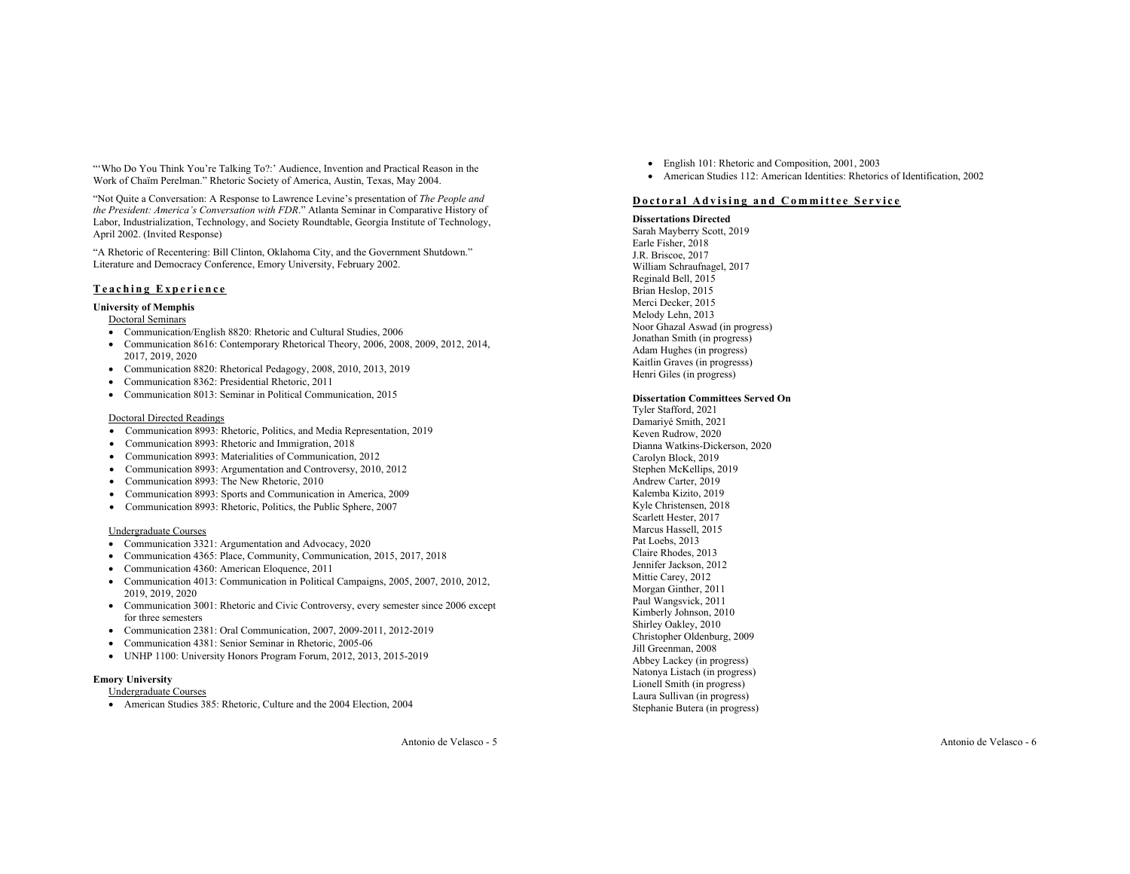"'Who Do You Think You're Talking To?:' Audience, Invention and Practical Reason in the Work of Chaïm Perelman." Rhetoric Society of America, Austin, Texas, May 2004.

"Not Quite a Conversation: A Response to Lawrence Levine's presentation of *The People and the President: America's Conversation with FDR*." Atlanta Seminar in Comparative History of Labor, Industrialization, Technology, and Society Roundtable, Georgia Institute of Technology, April 2002. (Invited Response)

"A Rhetoric of Recentering: Bill Clinton, Oklahoma City, and the Government Shutdown." Literature and Democracy Conference, Emory University, February 2002.

## **Teaching Experience**

## **University of Memphis**

### Doctoral Seminars

- Communication/English 8820: Rhetoric and Cultural Studies, 2006
- Communication 8616: Contemporary Rhetorical Theory, 2006, 2008, 2009, 2012, 2014, 2017, 2019, 2020
- Communication 8820: Rhetorical Pedagogy, 2008, 2010, 2013, 2019
- Communication 8362: Presidential Rhetoric, 2011
- Communication 8013: Seminar in Political Communication, 2015

### Doctoral Directed Readings

- Communication 8993: Rhetoric, Politics, and Media Representation, 2019
- Communication 8993: Rhetoric and Immigration, 2018
- Communication 8993: Materialities of Communication, 2012
- Communication 8993: Argumentation and Controversy, 2010, 2012
- Communication 8993: The New Rhetoric, 2010
- Communication 8993: Sports and Communication in America, 2009
- Communication 8993: Rhetoric, Politics, the Public Sphere, 2007

### Undergraduate Courses

- Communication 3321: Argumentation and Advocacy, 2020
- Communication 4365: Place, Community, Communication, 2015, 2017, 2018
- Communication 4360: American Eloquence, 2011
- Communication 4013: Communication in Political Campaigns, 2005, 2007, 2010, 2012, 2019, 2019, 2020
- Communication 3001: Rhetoric and Civic Controversy, every semester since 2006 except for three semesters
- Communication 2381: Oral Communication, 2007, 2009-2011, 2012-2019
- Communication 4381: Senior Seminar in Rhetoric, 2005-06
- UNHP 1100: University Honors Program Forum, 2012, 2013, 2015-2019

### **Emory University**

- Undergraduate Courses
- American Studies 385: Rhetoric, Culture and the 2004 Election, 2004

Damariyé Smith, 2021

Keven Rudrow, 2020 Carolyn Block, 2019 Stephen McKellips, 2019 Andrew Carter, 2019 Kalemba Kizito, 2019 Kyle Christensen, 2018 Scarlett Hester, 2017 Marcus Hassell, 2015 Pat Loebs, 2013 Claire Rhodes, 2013 Jennifer Jackson, 2012 Mittie Carey, 2012 Morgan Ginther, 2011 Paul Wangsvick, 2011 Kimberly Johnson, 2010 Shirley Oakley, 2010 Christopher Oldenburg, 2009 Jill Greenman, 2008 Abbey Lackey (in progress) Natonya Listach (in progress) Lionell Smith (in progress) Laura Sullivan (in progress) Stephanie Butera (in progress)

- English 101: Rhetoric and Composition, 2001, 2003
- American Studies 112: American Identities: Rhetorics of Identification, 2002

### **Doctoral Advising and Committee Service**

### **Dissertations Directed**

Sarah Mayberry Scott, 2019 Earle Fisher, 2018 J.R. Briscoe, 2017 William Schraufnagel, 2017 Reginald Bell, 2015 Brian Heslop, 2015 Merci Decker, 2015 Melody Lehn, 2013 Noor Ghazal Aswad (in progress) Jonathan Smith (in progress) Adam Hughes (in progress) Kaitlin Graves (in progresss) Henri Giles (in progress)

#### **Dissertation Committees Served On** Tyler Stafford, 2021

Dianna Watkins-Dickerson, 2020

Antonio de Velasco - 6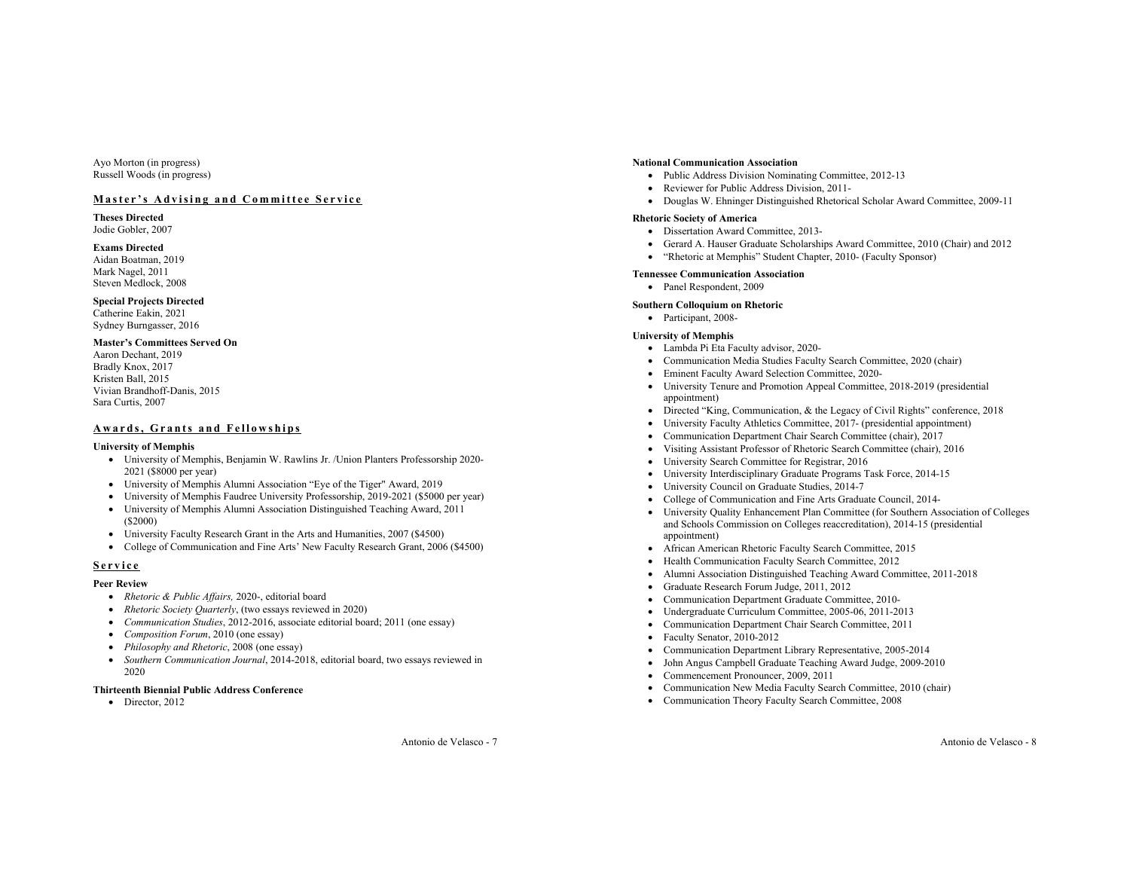Ayo Morton (in progress) Russell Woods (in progress)

## **Master's Advising and Committee Service**

**Theses Directed** Jodie Gobler, 2007

### **Exams Directed**

Aidan Boatman, 2019 Mark Nagel, 2011 Steven Medlock, 2008

### **Special Projects Directed**

Catherine Eakin, 2021 Sydney Burngasser, 2016

## **Master's Committees Served On**

Aaron Dechant, 2019 Bradly Knox, 2017 Kristen Ball, 2015 Vivian Brandhoff-Danis, 2015 Sara Curtis, 2007

## **Awards, Grants and Fellowships**

### **University of Memphis**

- University of Memphis, Benjamin W. Rawlins Jr. /Union Planters Professorship 2020- 2021 (\$8000 per year)
- University of Memphis Alumni Association "Eye of the Tiger" Award, 2019
- University of Memphis Faudree University Professorship, 2019-2021 (\$5000 per year)
- University of Memphis Alumni Association Distinguished Teaching Award, 2011 (\$2000)
- University Faculty Research Grant in the Arts and Humanities, 2007 (\$4500)
- College of Communication and Fine Arts' New Faculty Research Grant, 2006 (\$4500)

## **Service**

### **Peer Review**

- *Rhetoric & Public Affairs,* 2020-, editorial board
- *Rhetoric Society Quarterly*, (two essays reviewed in 2020)
- *Communication Studies*, 2012-2016, associate editorial board; 2011 (one essay)
- *Composition Forum*, 2010 (one essay)
- *Philosophy and Rhetoric*, 2008 (one essay)
- *Southern Communication Journal*, 2014-2018, editorial board, two essays reviewed in 2020

### **Thirteenth Biennial Public Address Conference**

• Director, 2012

### **National Communication Association**

- Public Address Division Nominating Committee, 2012-13
- Reviewer for Public Address Division, 2011-
- Douglas W. Ehninger Distinguished Rhetorical Scholar Award Committee, 2009-11

### **Rhetoric Society of America**

- Dissertation Award Committee, 2013-
- Gerard A. Hauser Graduate Scholarships Award Committee, 2010 (Chair) and 2012
- "Rhetoric at Memphis" Student Chapter, 2010- (Faculty Sponsor)

## **Tennessee Communication Association**

# • Panel Respondent, 2009

### **Southern Colloquium on Rhetoric**

• Participant, 2008-

### **University of Memphis**

- Lambda Pi Eta Faculty advisor, 2020-
- Communication Media Studies Faculty Search Committee, 2020 (chair)
- Eminent Faculty Award Selection Committee, 2020-
- University Tenure and Promotion Appeal Committee, 2018-2019 (presidential appointment)
- Directed "King, Communication, & the Legacy of Civil Rights" conference, 2018
- University Faculty Athletics Committee, 2017- (presidential appointment)
- Communication Department Chair Search Committee (chair), 2017
- Visiting Assistant Professor of Rhetoric Search Committee (chair), 2016
- University Search Committee for Registrar, 2016
- University Interdisciplinary Graduate Programs Task Force, 2014-15
- University Council on Graduate Studies, 2014-7
- College of Communication and Fine Arts Graduate Council, 2014-
- University Quality Enhancement Plan Committee (for Southern Association of Colleges and Schools Commission on Colleges reaccreditation), 2014-15 (presidential appointment)
- African American Rhetoric Faculty Search Committee, 2015
- Health Communication Faculty Search Committee, 2012
- Alumni Association Distinguished Teaching Award Committee, 2011-2018
- Graduate Research Forum Judge, 2011, 2012
- Communication Department Graduate Committee, 2010-
- Undergraduate Curriculum Committee, 2005-06, 2011-2013
- Communication Department Chair Search Committee, 2011
- Faculty Senator, 2010-2012
- Communication Department Library Representative, 2005-2014
- John Angus Campbell Graduate Teaching Award Judge, 2009-2010
- Commencement Pronouncer, 2009, 2011
- Communication New Media Faculty Search Committee, 2010 (chair)
- Communication Theory Faculty Search Committee, 2008

Antonio de Velasco - 7